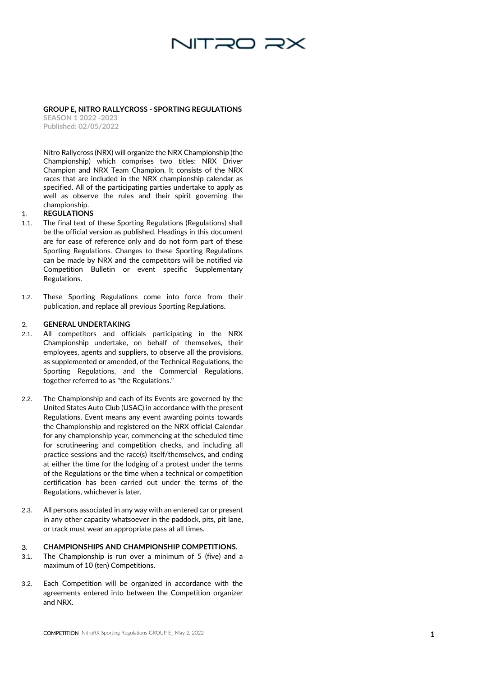

**GROUP E, NITRO RALLYCROSS - SPORTING REGULATIONS** 

**SEASON 1 2022 -2023 Published: 02/0 5/2022**

Nitro Rallycross (NRX) will organize the NRX Championship (the Championship) which comprises two titles: NRX Driver Champion and NRX Team Champion. It consists of the NRX races that are included in the NRX championship calendar as specified. All of the participating parties undertake to apply as well as observe the rules and their spirit governing the championship.

## $\mathbf{1}$ . **REGULATIONS**

- 1.1. The final text of these Sporting Regulations (Regulations) shall be the official version as published. Headings in this document are for ease of reference only and do not form part of these Sporting Regulations. Changes to these Sporting Regulations can be made by NRX and the competitors will be notified via Competition Bulletin or event specific Supplementary Regulations.
- 1.2. These Sporting Regulations come into force from their publication, and replace all previous Sporting Regulations.

## **GENERAL UNDERTAKING** 2.

- 2.1. All competitors and officials participating in the NRX Championship undertake, on behalf of themselves, their employees, agents and suppliers, to observe all the provisions, as supplemented or amended, of the Technical Regulations, the Sporting Regulations, and the Commercial Regulations, together referred to as "the Regulations."
- **1** 2.2. The Championship and each of its Events are governed by the United States Auto Club (USAC) in accordance with the present Regulations. Event means any event awarding points towards the Championship and registered on the NRX official Calendar for any championship year, commencing at the scheduled time for scrutineering and competition checks, and including all practice sessions and the race(s) itself/themselves, and ending at either the time for the lodging of a protest under the terms of the Regulations or the time when a technical or competition certification has been carried out under the terms of the Regulations, whichever is later.
- 2.3. All persons associated in any way with an entered car or present in any other capacity whatsoever in the paddock, pits, pit lane, or track must wear an appropriate pass at all times.

## 3. **CHAMPIONSHIPS AND CHAMPIONSHIP COMPETITIONS.**

- 3.1. The Championship is run over a minimum of 5 (five) and a maximum of 10 (ten) Competitions.
- 3.2. Each Competition will be organized in accordance with the agreements entered into between the Competition organizer and NRX.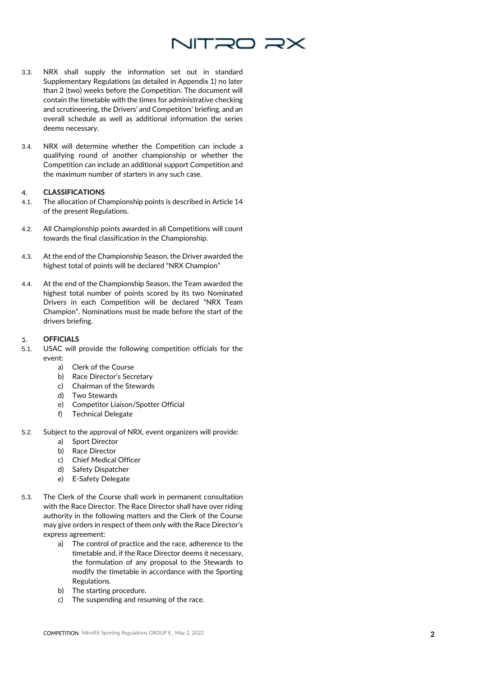

- 3.3. NRX shall supply the information set out in standard Supplementary Regulations (as detailed in Appendix 1) no later than 2 (two) weeks before the Competition. The document will contain the timetable with the times for administrative checking and scrutineering, the Drivers' and Competitors' briefing, and an overall schedule as well as additional information the series deems necessary.
- 3.4. NRX will determine whether the Competition can include a qualifying round of another championship or whether the Competition can include an additional support Competition and the maximum number of starters in any such case.

## **CLASSIFICATIONS** 4.

- 4.1. The allocation of Championship points is described in Article 14 of the present Regulations.
- 4.2. All Championship points awarded in all Competitions will count towards the final classification in the Championship.
- 4.3. At the end of the Championship Season, the Driver awarded the highest total of points will be declared "NRX Champion"
- 4.4. At the end of the Championship Season, the Team awarded the highest total number of points scored by its two Nominated Drivers in each Competition will be declared "NRX Team Champion". Nominations must be made before the start of the drivers briefing.

## **OFFICIALS** 5.

- 5.1. USAC will provide the following competition officials for the event:
	- a) Clerk of the Course
	- b) Race Director's Secretary
	- c) Chairman of the Stewards
	- d) Two Stewards
	- e) Competitor Liaison/Spotter Official
	- f) Technical Delegate
- 5.2. Subject to the approval of NRX, event organizers will provide:
	- a) Sport Director
	- b) Race Director
	- c) Chief Medical Officer
	- d) Safety Dispatcher
	- e) E -Safety Delegate
- 5.3. The Clerk of the Course shall work in permanent consultation with the Race Director. The Race Director shall have over riding authority in the following matters and the Clerk of the Course may give orders in respect of them only with the Race Director's express agreement:
	- a) The control of practice and the race, adherence to the timetable and, if the Race Director deems it necessary, the formulation of any proposal to the Stewards to modify the timetable in accordance with the Sporting Regulations.
	- b) The starting procedure.
	- c) The suspending and resuming of the race.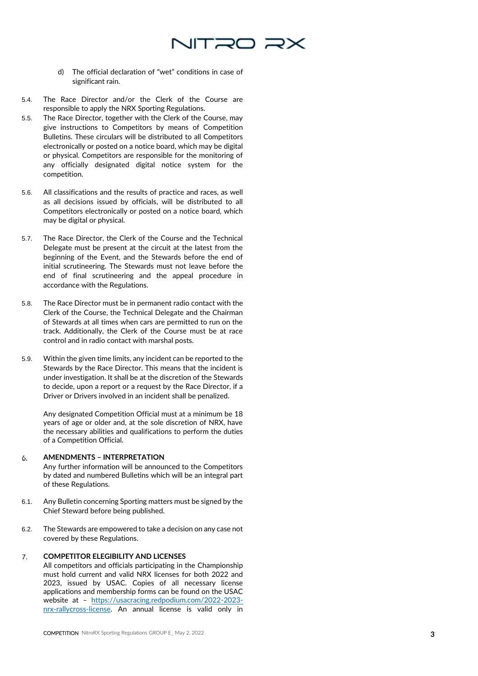

- d) The official declaration of "wet" conditions in case of significant rain.
- 5.4. The Race Director and/or the Clerk of the Course are responsible to apply the NRX Sporting Regulations.
- 5.5. The Race Director, together with the Clerk of the Course, may give instructions to Competitors by means of Competition Bulletins. These circulars will be distributed to all Competitors electronically or posted on a notice board, which may be digital or physical. Competitors are responsible for the monitoring of any officially designated digital notice system for the competition.
- 5.6. All classifications and the results of practice and races, as well as all decisions issued by officials, will be distributed to all Competitors electronically or posted on a notice board, which may be digital or physical.
- 5.7. The Race Director, the Clerk of the Course and the Technical Delegate must be present at the circuit at the latest from the beginning of the Event, and the Stewards before the end of initial scrutineering. The Stewards must not leave before the end of final scrutineering and the appeal procedure in accordance with the Regulations.
- 5.8. The Race Director must be in permanent radio contact with the Clerk of the Course, the Technical Delegate and the Chairman of Stewards at all times when cars are permitted to run on the track. Additionally, the Clerk of the Course must be at race control and in radio contact with marshal posts.
- 5.9. Within the given time limits, any incident can be reported to the Stewards by the Race Director. This means that the incident is under investigation. It shall be at the discretion of the Stewards to decide, upon a report or a request by the Race Director, if a Driver or Drivers involved in an incident shall be penalized.

Any designated Competition Official must at a minimum be 18 years of age or older and, at the sole discretion of NRX, have the necessary abilities and qualifications to perform the duties of a Competition Official.

## 6. **AMENDMENTS – INTERPRETATION**

Any further information will be announced to the Competitors by dated and numbered Bulletins which will be an integral part of these Regulations.

- 6.1. Any Bulletin concerning Sporting matters must be signed by the Chief Steward before being published.
- 6.2. The Stewards are empowered to take a decision on any case not covered by these Regulations.

## $\mathcal{T}$ . **COMPETITOR ELEGIBILITY AND LICENSES**

All competitors and officials participating in the Championship must hold current and valid NRX licenses for both 2022 and 2023, issued by USAC. Copies of all necessary license applications and membership forms can be found on the USAC website at – <u>[https://usacracing.redpodium.com/2022](https://usacracing.redpodium.com/2022-2023-nrx-rallycross-license)-2023-</u> nrx[-rallycross](https://usacracing.redpodium.com/2022-2023-nrx-rallycross-license)-license. An annual license is valid only in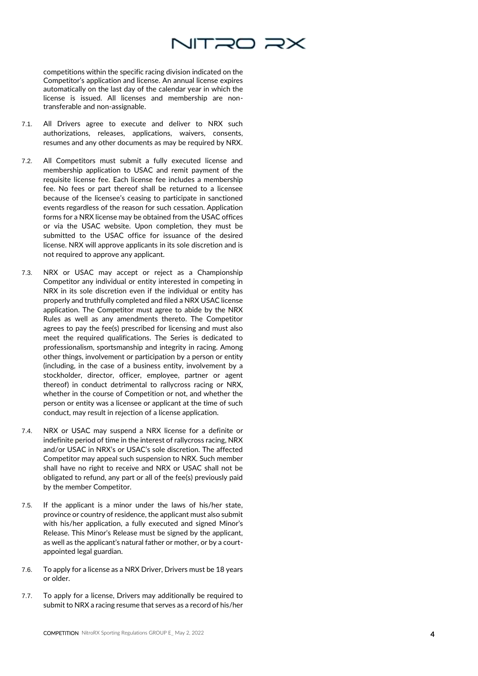

competitions within the specific racing division indicated on the Competitor's application and license. An annual license expires automatically on the last day of the calendar year in which the license is issued. All licenses and membership are non transferable and non -assignable.

- 7.1. All Drivers agree to execute and deliver to NRX such authorizations, releases, applications, waivers, consents, resumes and any other documents as may be required by NRX.
- 7.2. All Competitors must submit a fully executed license and membership application to USAC and remit payment of the requisite license fee. Each license fee includes a membership fee. No fees or part thereof shall be returned to a licensee because of the licensee's ceasing to participate in sanctioned events regardless of the reason for such cessation. Application forms for a NRX license may be obtained from the USAC offices or via the USAC website. Upon completion, they must be submitted to the USAC office for issuance of the desired license. NRX will approve applicants in its sole discretion and is not required to approve any applicant.
- 7.3. NRX or USAC may accept or reject as a Championship Competitor any individual or entity interested in competing in NRX in its sole discretion even if the individual or entity has properly and truthfully completed and filed a NRX USAC license application. The Competitor must agree to abide by the NRX Rules as well as any amendments thereto. The Competitor agrees to pay the fee(s) prescribed for licensing and must also meet the required qualifications. The Series is dedicated to professionalism, sportsmanship and integrity in racing. Among other things, involvement or participation by a person or entity (including, in the case of a business entity, involvement by a stockholder, director, officer, employee, partner or agent thereof) in conduct detrimental to rallycross racing or NRX, whether in the course of Competition or not, and whether the person or entity was a licensee or applicant at the time of such conduct, may result in rejection of a license application.
- 7.4. NRX or USAC may suspend a NRX license for a definite or indefinite period of time in the interest of rallycross racing, NRX and/or USAC in NRX's or USAC's sole discretion. The affected Competitor may appeal such suspension to NRX. Such member shall have no right to receive and NRX or USAC shall not be obligated to refund, any part or all of the fee(s) previously paid by the member Competitor.
- 7.5. If the applicant is a minor under the laws of his/her state, province or country of residence, the applicant must also submit with his/her application, a fully executed and signed Minor's Release. This Minor's Release must be signed by the applicant, as well as the applicant's natural father or mother, or by a court appointed legal guardian.
- 7.6. To apply for a license as a NRX Driver, Drivers must be 18 years or older.
- 7.7. To apply for a license, Drivers may additionally be required to submit to NRX a racing resume that serves as a record of his/her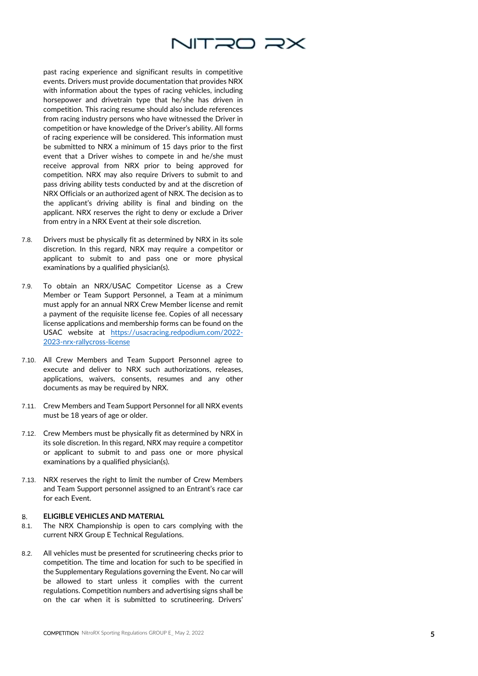

past racing experience and significant results in competitive events. Drivers must provide documentation that provides NRX with information about the types of racing vehicles, including horsepower and drivetrain type that he/she has driven in competition. This racing resume should also include references from racing industry persons who have witnessed the Driver in competition or have knowledge of the Driver's ability. All forms of racing experience will be considered. This information must be submitted to NRX a minimum of 15 days prior to the first event that a Driver wishes to compete in and he/she must receive approval from NRX prior to being approved for competition. NRX may also require Drivers to submit to and pass driving ability tests conducted by and at the discretion of NRX Officials or an authorized agent of NRX. The decision as to the applicant's driving ability is final and binding on the applicant. NRX reserves the right to deny or exclude a Driver from entry in a NRX Event at their sole discretion.

- 7.8. Drivers must be physically fit as determined by NRX in its sole discretion. In this regard, NRX may require a competitor or applicant to submit to and pass one or more physical examinations by a qualified physician(s).
- 7.9. To obtain an NRX/USAC Competitor License as a Crew Member or Team Support Personnel, a Team at a minimum must apply for an annual NRX Crew Member license and remit a payment of the requisite license fee. Copies of all necessary license applications and membership forms can be found on the USAC website at <u>[https://usacracing.redpodium.com/2022](https://usacracing.redpodium.com/2022-2023-nrx-rallycross-license)-</u> 2023 -nrx [-rallycross](https://usacracing.redpodium.com/2022-2023-nrx-rallycross-license) -license
- 7.10. All Crew Members and Team Support Personnel agree to execute and deliver to NRX such authorizations, releases, applications, waivers, consents, resumes and any other documents as may be required by NRX.
- 7.11. Crew Members and Team Support Personnel for all NRX events must be 18 years of age or older.
- 7.12. Crew Members must be physically fit as determined by NRX in its sole discretion. In this regard, NRX may require a competitor or applicant to submit to and pass one or more physical examinations by a qualified physician(s).
- 7.13. NRX reserves the right to limit the number of Crew Members and Team Support personnel assigned to an Entrant's race car for each Event.

## **ELIGIBLE VEHICLES AND MATERIAL** 8.

- 8.1. The NRX Championship is open to cars complying with the current NRX Group E Technical Regulations.
- 8.2. All vehicles must be presented for scrutineering checks prior to competition. The time and location for such to be specified in the Supplementary Regulations governing the Event. No car will be allowed to start unless it complies with the current regulations. Competition numbers and advertising signs shall be on the car when it is submitted to scrutineering. Drivers'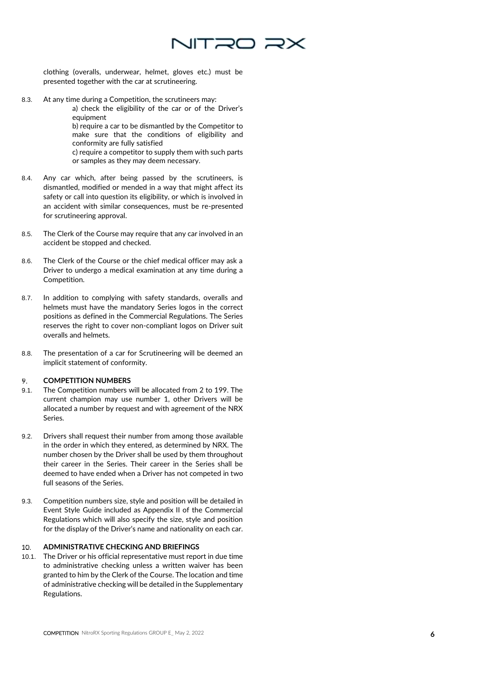

clothing (overalls, underwear, helmet, gloves etc.) must be presented together with the car at scrutineering.

8.3. At any time during a Competition, the scrutineers may:

a) check the eligibility of the car or of the Driver's equipment

b) require a car to be dismantled by the Competitor to make sure that the conditions of eligibility and conformity are fully satisfied

c) require a competitor to supply them with such parts or samples as they may deem necessary.

- 8.4. Any car which, after being passed by the scrutineers, is dismantled, modified or mended in a way that might affect its safety or call into question its eligibility, or which is involved in an accident with similar consequences, must be re -presented for scrutineering approval.
- 8.5. The Clerk of the Course may require that any car involved in an accident be stopped and checked.
- 8.6. The Clerk of the Course or the chief medical officer may ask a Driver to undergo a medical examination at any time during a Competition.
- 8.7. In addition to complying with safety standards, overalls and helmets must have the mandatory Series logos in the correct positions as defined in the Commercial Regulations. The Series reserves the right to cover non -compliant logos on Driver suit overalls and helmets.
- 8.8. The presentation of a car for Scrutineering will be deemed an implicit statement of conformity.

## 9. **COMPETITION NUMBERS**

- 9.1. The Competition numbers will be allocated from 2 to 199. The current champion may use number 1, other Drivers will be allocated a number by request and with agreement of the NRX Series.
- 9.2. Drivers shall request their number from among those available in the order in which they entered, as determined by NRX. The number chosen by the Driver shall be used by them throughout their career in the Series. Their career in the Series shall be deemed to have ended when a Driver has not competed in two full seasons of the Series.
- 9.3. Competition numbers size, style and position will be detailed in Event Style Guide included as Appendix II of the Commercial Regulations which will also specify the size, style and position for the display of the Driver's name and nationality on each car.

## 10. **ADMINISTRATIVE CHECKING AND BRIEFINGS**

10.1. The Driver or his official representative must report in due time to administrative checking unless a written waiver has been granted to him by the Clerk of the Course. The location and time of administrative checking will be detailed in the Supplementary Regulations.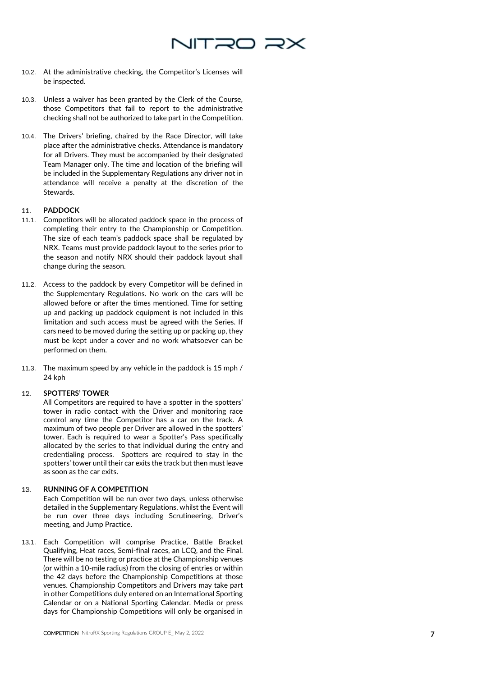

- 10.2. At the administrative checking, the Competitor's Licenses will be inspected.
- 10.3. Unless a waiver has been granted by the Clerk of the Course, those Competitors that fail to report to the administrative checking shall not be authorized to take part in the Competition.
- 10.4. The Drivers' briefing, chaired by the Race Director, will take place after the administrative checks. Attendance is mandatory for all Drivers. They must be accompanied by their designated Team Manager only. The time and location of the briefing will be included in the Supplementary Regulations any driver not in attendance will receive a penalty at the discretion of the Stewards.

## **PADDOCK** 11

- 11.1. Competitors will be allocated paddock space in the process of completing their entry to the Championship or Competition. The size of each team's paddock space shall be regulated by NRX. Teams must provide paddock layout to the series prior to the season and notify NRX should their paddock layout shall change during the season.
- 11.2. Access to the paddock by every Competitor will be defined in the Supplementary Regulations. No work on the cars will be allowed before or after the times mentioned. Time for setting up and packing up paddock equipment is not included in this limitation and such access must be agreed with the Series. If cars need to be moved during the setting up or packing up, they must be kept under a cover and no work whatsoever can be performed on them.
- 11.3. The maximum speed by any vehicle in the paddock is 15 mph / 24 kph

## **SPOTTERS' TOWER** 12.

All Competitors are required to have a spotter in the spotters' tower in radio contact with the Driver and monitoring race control any time the Competitor has a car on the track. A maximum of two people per Driver are allowed in the spotters' tower. Each is required to wear a Spotter's Pass specifically allocated by the series to that individual during the entry and credentialing process. Spotters are required to stay in the spotters' tower until their car exits the track but then must leave as soon as the car exits.

## **RUNNING OF A COMPETITION**  13.

Each Competition will be run over two days, unless otherwise detailed in the Supplementary Regulations, whilst the Event will be run over three days including Scrutineering, Driver's meeting, and Jump Practice.

13.1. Each Competition will comprise Practice, Battle Bracket Qualifying, Heat races, Semi-final races, an LCQ, and the Final. There will be no testing or practice at the Championship venues (or within a 10 -mile radius) from the closing of entries or within the 42 days before the Championship Competitions at those venues. Championship Competitors and Drivers may take part in other Competitions duly entered on an International Sporting Calendar or on a National Sporting Calendar. Media or press days for Championship Competitions will only be organised in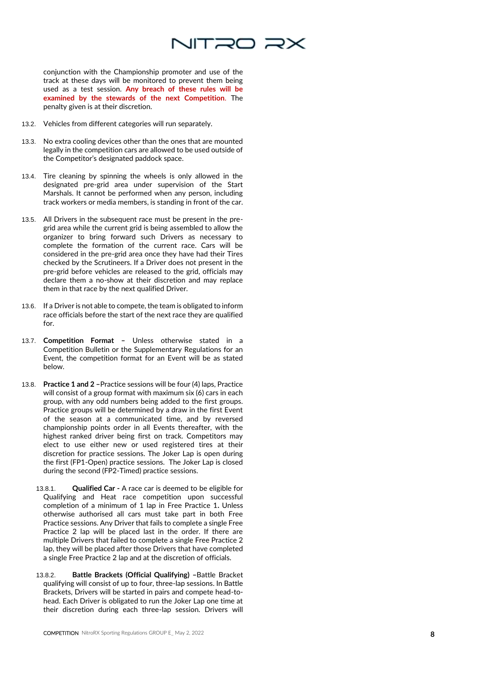

conjunction with the Championship promoter and use of the track at these days will be monitored to prevent them being used as a test session. **Any breach of these rules will be examined by the stewards of the next Competition** . The penalty given is at their discretion.

- 13.2. Vehicles from different categories will run separately.
- 13.3. No extra cooling devices other than the ones that are mounted legally in the competition cars are allowed to be used outside of the Competitor's designated paddock space.
- 13.4. Tire cleaning by spinning the wheels is only allowed in the designated pre -grid area under supervision of the Start Marshals. It cannot be performed when any person, including track workers or media members, is standing in front of the car.
- 13.5. All Drivers in the subsequent race must be present in the pre grid area while the current grid is being assembled to allow the organizer to bring forward such Drivers as necessary to complete the formation of the current race. Cars will be considered in the pre -grid area once they have had their Tires checked by the Scrutineers. If a Driver does not present in the pre -grid before vehicles are released to the grid, officials may declare them a no -show at their discretion and may replace them in that race by the next qualified Driver.
- 13.6. If a Driver is not able to compete, the team is obligated to inform race officials before the start of the next race they are qualified for.
- 13.7. **Competition Format –** Unless otherwise stated in a Competition Bulletin or the Supplementary Regulations for an Event, the competition format for an Event will be as stated below.
- 13.8. **Practice 1 and 2** Practice sessions will be four (4) laps, Practice will consist of a group format with maximum six (6) cars in each group, with any odd numbers being added to the first groups. Practice groups will be determined by a draw in the first Event of the season at a communicated time, and by reversed championship points order in all Events thereafter, with the highest ranked driver being first on track. Competitors may elect to use either new or used registered tires at their discretion for practice sessions. The Joker Lap is open during the first (FP1 -Open) practice sessions. The Joker Lap is closed during the second (FP2 -Timed) practice sessions.
	- 13.8.1. **Qualified Car -** A race car is deemed to be eligible for Qualifying and Heat race competition upon successful completion of a minimum of 1 lap in Free Practice 1**.** Unless otherwise authorised all cars must take part in both Free Practice sessions. Any Driver that fails to complete a single Free Practice 2 lap will be placed last in the order. If there are multiple Drivers that failed to complete a single Free Practice 2 lap, they will be placed after those Drivers that have completed a single Free Practice 2 lap and at the discretion of officials.
	- 13.8.2. **Battle Brackets (Official Qualifying) –**Battle Bracket qualifying will consist of up to four, three -lap sessions. In Battle Brackets, Drivers will be started in pairs and compete head -to head. Each Driver is obligated to run the Joker Lap one time at their discretion during each three -lap session. Drivers will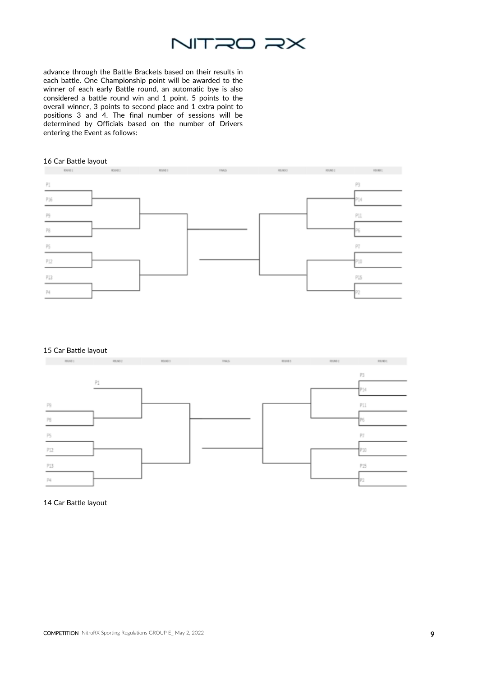

advance through the Battle Brackets based on their results in each battle. One Championship point will be awarded to the winner of each early Battle round, an automatic bye is also considered a battle round win and 1 point. 5 points to the overall winner, 3 points to second place and 1 extra point to positions 3 and 4. The final number of sessions will be determined by Officials based on the number of Drivers entering the Event as follows:

## 16 Car Battle layout



## 15 Car Battle layout



## 14 Car Battle layout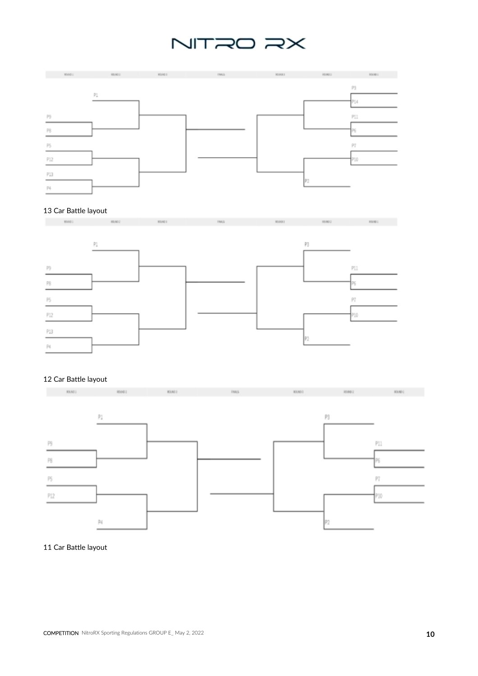# NITRO RX



# 13 Car Battle layout



# 12 Car Battle layout





## 11 Car Battle layout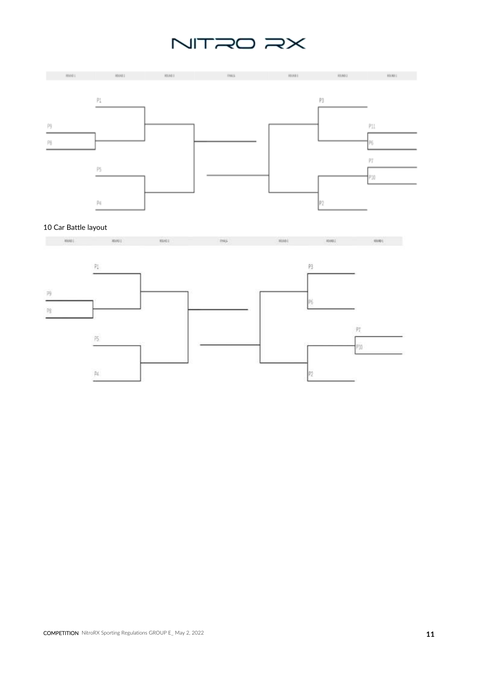# NITRO RX



# 10 Car Battle layout



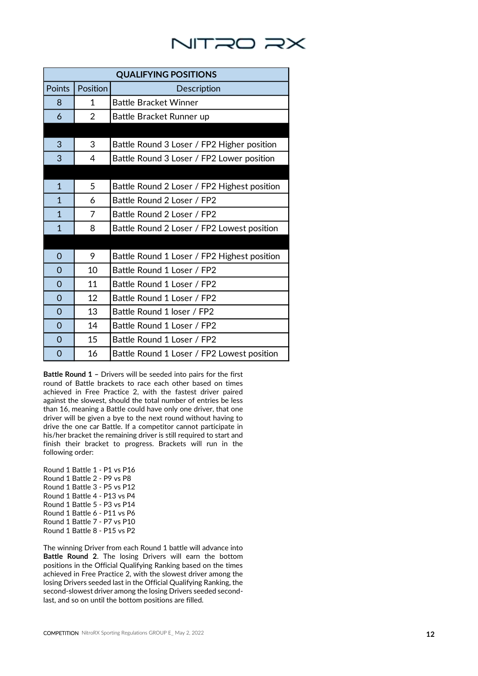# NITRO RX

| <b>QUALIFYING POSITIONS</b> |                |                                             |
|-----------------------------|----------------|---------------------------------------------|
| Points                      | Position       | Description                                 |
| 8                           | 1              | <b>Battle Bracket Winner</b>                |
| 6                           | $\overline{2}$ | Battle Bracket Runner up                    |
|                             |                |                                             |
| 3                           | 3              | Battle Round 3 Loser / FP2 Higher position  |
| 3                           | 4              | Battle Round 3 Loser / FP2 Lower position   |
|                             |                |                                             |
| $\mathbf{1}$                | 5              | Battle Round 2 Loser / FP2 Highest position |
| $\mathbf{1}$                | 6              | Battle Round 2 Loser / FP2                  |
| $\mathbf{1}$                | 7              | Battle Round 2 Loser / FP2                  |
| $\mathbf{1}$                | 8              | Battle Round 2 Loser / FP2 Lowest position  |
|                             |                |                                             |
| 0                           | 9              | Battle Round 1 Loser / FP2 Highest position |
| $\Omega$                    | 10             | Battle Round 1 Loser / FP2                  |
| $\overline{0}$              | 11             | Battle Round 1 Loser / FP2                  |
| $\Omega$                    | 12             | Battle Round 1 Loser / FP2                  |
| $\Omega$                    | 13             | Battle Round 1 loser / FP2                  |
| $\Omega$                    | 14             | Battle Round 1 Loser / FP2                  |
| $\Omega$                    | 15             | Battle Round 1 Loser / FP2                  |
| 0                           | 16             | Battle Round 1 Loser / FP2 Lowest position  |

**Battle Round 1 –** Drivers will be seeded into pairs for the first round of Battle brackets to race each other based on times achieved in Free Practice 2, with the fastest driver paired against the slowest, should the total number of entries be less than 16, meaning a Battle could have only one driver, that one driver will be given a bye to the next round without having to drive the one car Battle. If a competitor cannot participate in his/her bracket the remaining driver is still required to start and finish their bracket to progress. Brackets will run in the following order:

Round 1 Battle 1 - P1 vs P16 Round 1 Battle 2 - P9 vs P8 Round 1 Battle 3 - P5 vs P12 Round 1 Battle 4 - P13 vs P4 Round 1 Battle 5 - P3 vs P14 Round 1 Battle 6 - P11 vs P6 Round 1 Battle 7 - P7 vs P10 Round 1 Battle 8 - P15 vs P2

The winning Driver from each Round 1 battle will advance into **Battle Round 2**. The losing Drivers will earn the bottom positions in the Official Qualifying Ranking based on the times achieved in Free Practice 2, with the slowest driver among the losing Drivers seeded last in the Official Qualifying Ranking, the second -slowest driver among the losing Drivers seeded second last, and so on until the bottom positions are filled.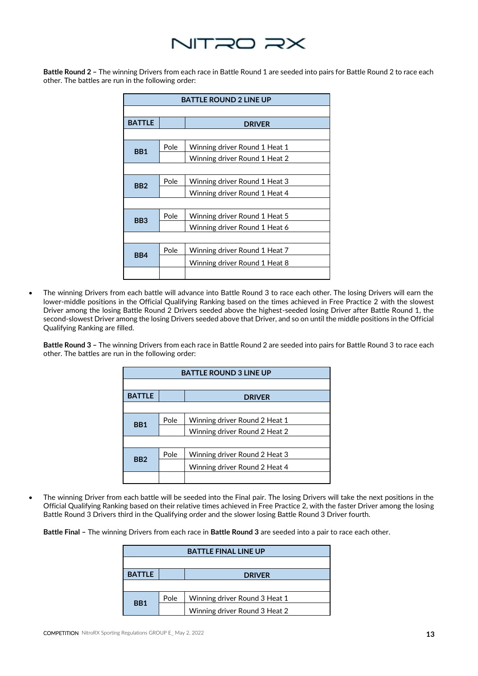

**Battle Round 2 –** The winning Drivers from each race in Battle Round 1 are seeded into pairs for Battle Round 2 to race each other. The battles are run in the following order:

| <b>BATTLE ROUND 2 LINE UP</b> |      |                               |  |  |
|-------------------------------|------|-------------------------------|--|--|
|                               |      |                               |  |  |
| <b>BATTLE</b>                 |      | <b>DRIVER</b>                 |  |  |
|                               |      |                               |  |  |
| BB1                           | Pole | Winning driver Round 1 Heat 1 |  |  |
|                               |      | Winning driver Round 1 Heat 2 |  |  |
|                               |      |                               |  |  |
| BB <sub>2</sub>               | Pole | Winning driver Round 1 Heat 3 |  |  |
|                               |      | Winning driver Round 1 Heat 4 |  |  |
|                               |      |                               |  |  |
| BB <sub>3</sub>               | Pole | Winning driver Round 1 Heat 5 |  |  |
|                               |      | Winning driver Round 1 Heat 6 |  |  |
|                               |      |                               |  |  |
| BB4                           | Pole | Winning driver Round 1 Heat 7 |  |  |
|                               |      | Winning driver Round 1 Heat 8 |  |  |
|                               |      |                               |  |  |

• The winning Drivers from each battle will advance into Battle Round 3 to race each other. The losing Drivers will earn the lower-middle positions in the Official Qualifying Ranking based on the times achieved in Free Practice 2 with the slowest Driver among the losing Battle Round 2 Drivers seeded above the highest-seeded losing Driver after Battle Round 1, the second-slowest Driver among the losing Drivers seeded above that Driver, and so on until the middle positions in the Official Qualifying Ranking are filled.

**Battle Round 3 –** The winning Drivers from each race in Battle Round 2 are seeded into pairs for Battle Round 3 to race each other. The battles are run in the following order:

| <b>BATTLE ROUND 3 LINE UP</b> |      |                               |  |  |
|-------------------------------|------|-------------------------------|--|--|
|                               |      |                               |  |  |
| <b>BATTLE</b>                 |      | <b>DRIVER</b>                 |  |  |
|                               |      |                               |  |  |
| BB1                           | Pole | Winning driver Round 2 Heat 1 |  |  |
|                               |      | Winning driver Round 2 Heat 2 |  |  |
|                               |      |                               |  |  |
| BB <sub>2</sub>               | Pole | Winning driver Round 2 Heat 3 |  |  |
|                               |      | Winning driver Round 2 Heat 4 |  |  |
|                               |      |                               |  |  |

• The winning Driver from each battle will be seeded into the Final pair. The losing Drivers will take the next positions in the Official Qualifying Ranking based on their relative times achieved in Free Practice 2, with the faster Driver among the losing Battle Round 3 Drivers third in the Qualifying order and the slower losing Battle Round 3 Driver fourth.

**Battle Final –** The winning Drivers from each race in **Battle Round 3** are seeded into a pair to race each other.

| <b>BATTLE FINAL LINE UP</b> |      |                               |  |
|-----------------------------|------|-------------------------------|--|
|                             |      |                               |  |
| <b>BATTLE</b>               |      | <b>DRIVER</b>                 |  |
|                             |      |                               |  |
| B <sub>B</sub> 1            | Pole | Winning driver Round 3 Heat 1 |  |
|                             |      | Winning driver Round 3 Heat 2 |  |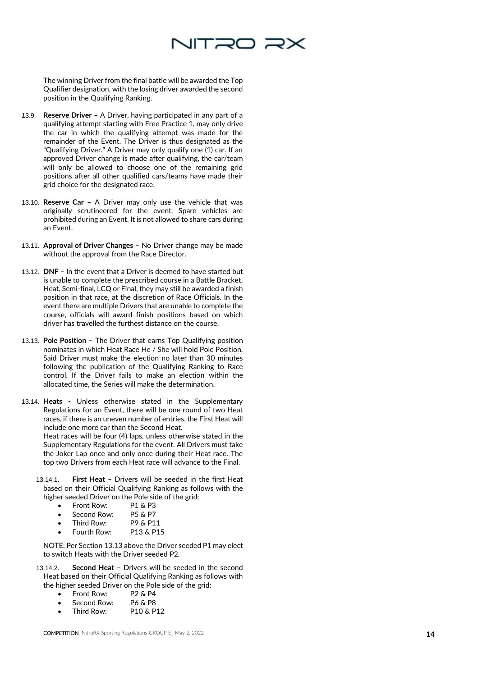

The winning Driver from the final battle will be awarded the Top Qualifier designation, with the losing driver awarded the second position in the Qualifying Ranking.

- 13.9. **Reserve Driver –** A Driver, having participated in any part of a qualifying attempt starting with Free Practice 1, may only drive the car in which the qualifying attempt was made for the remainder of the Event. The Driver is thus designated as the "Qualifying Driver." A Driver may only qualify one (1) car. If an approved Driver change is made after qualifying, the car/team will only be allowed to choose one of the remaining grid positions after all other qualified cars/teams have made their grid choice for the designated race.
- 13.10. **Reserve Car –** A Driver may only use the vehicle that was originally scrutineered for the event. Spare vehicles are prohibited during an Event. It is not allowed to share cars during an Event.
- 13.11. Approval of Driver Changes No Driver change may be made without the approval from the Race Director.
- 13.12. **DNF –** In the event that a Driver is deemed to have started but is unable to complete the prescribed course in a Battle Bracket, Heat, Semi -final, LCQ or Final, they may still be awarded a finish position in that race, at the discretion of Race Officials. In the event there are multiple Drivers that are unable to complete the course, officials will award finish positions based on which driver has travelled the furthest distance on the course.
- 13.13. **Pole Position –** The Driver that earns Top Qualifying position nominates in which Heat Race He / She will hold Pole Position. Said Driver must make the election no later than 30 minutes following the publication of the Qualifying Ranking to Race control. If the Driver fails to make an election within the allocated time, the Series will make the determination.
- 13.14. **Heats -** Unless otherwise stated in the Supplementary Regulations for an Event, there will be one round of two Heat races, if there is an uneven number of entries, the First Heat will include one more car than the Second Heat.

Heat races will be four (4) laps, unless otherwise stated in the Supplementary Regulations for the event. All Drivers must take the Joker Lap once and only once during their Heat race. The top two Drivers from each Heat race will advance to the Final.

- 13.14.1. **First Heat –** Drivers will be seeded in the first Heat based on their Official Qualifying Ranking as follows with the higher seeded Driver on the Pole side of the grid:<br>• Front Row: P1 & P3
	- Front Row:
	- Second Row: P5 & P7<br>• Third Row: P9 & P11
	- Third Row: P9 & P11<br>• Fourth Row: P13 & P15
	- Fourth Row:

NOTE: Per Section 13.13 above the Driver seeded P1 may elect to switch Heats with the Driver seeded P2.

- 13.14.2. **Second Heat –** Drivers will be seeded in the second Heat based on their Official Qualifying Ranking as follows with the higher seeded Driver on the Pole side of the grid:
	- Front Row: P2 & P4<br>• Second Row: P6 & P8
	- Second Row:
	- Third Row: P10 & P12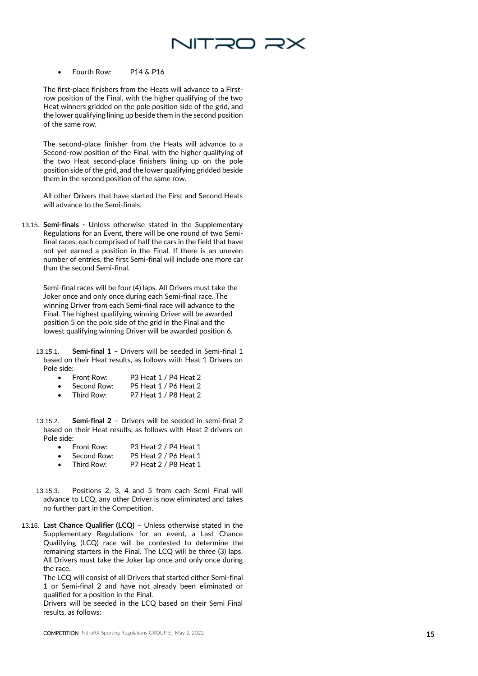

• Fourth Row: P14 & P16

The first -place finishers from the Heats will advance to a First row position of the Final, with the higher qualifying of the two Heat winners gridded on the pole position side of the grid, and the lower qualifying lining up beside them in the second position of the same row.

The second -place finisher from the Heats will advance to a Second -row position of the Final, with the higher qualifying of the two Heat second -place finishers lining up on the pole position side of the grid, and the lower qualifying gridded beside them in the second position of the same row.

All other Drivers that have started the First and Second Heats will advance to the Semi -finals.

13.15. **Semi -finals -** Unless otherwise stated in the Supplementary Regulations for an Event, there will be one round of two Semi final races, each comprised of half the cars in the field that have not yet earned a position in the Final. If there is an uneven number of entries, the first Semi -final will include one more car than the second Semi -final.

Semi -final races will be four (4) laps. All Drivers must take the Joker once and only once during each Semi -final race. The winning Driver from each Semi -final race will advance to the Final. The highest qualifying winning Driver will be awarded position 5 on the pole side of the grid in the Final and the lowest qualifying winning Driver will be awarded position 6.

13.15.1. **Semi -final 1 –** Drivers will be seeded in Semi -final 1 based on their Heat results, as follows with Heat 1 Drivers on Pole side:

- Front Row: P3 Heat 1 / P4 Heat 2
- Second Row: P5 Heat 1 / P6 Heat 2<br>• Third Row: P7 Heat 1 / P8 Heat 2
- P7 Heat 1 / P8 Heat 2
- 13.15.2. **-final 2** – Drivers will be seeded in semi -final 2 based on their Heat results, as follows with Heat 2 drivers on Pole side:
	- Front Row: P3 Heat 2 / P4 Heat 1
	- Second Row: P5 Heat 2 / P6 Heat 1<br>Third Row: P7 Heat 2 / P8 Heat 1 • Third Row: P7 Heat 2 / P8 Heat 1
- 13.15.3. Positions 2, 3, 4 and 5 from each Semi Final will advance to LCQ, any other Driver is now eliminated and takes no further part in the Competition.
- 13.16. **Last Chance Qualifier (LCQ)** Unless otherwise stated in the Supplementary Regulations for an event, a Last Chance Qualifying (LCQ) race will be contested to determine the remaining starters in the Final. The LCQ will be three (3) laps. All Drivers must take the Joker lap once and only once during the race.

The LCQ will consist of all Drivers that started either Semi -final 1 or Semi -final 2 and have not already been eliminated or qualified for a position in the Final.

Drivers will be seeded in the LCQ based on their Semi Final results, as follows: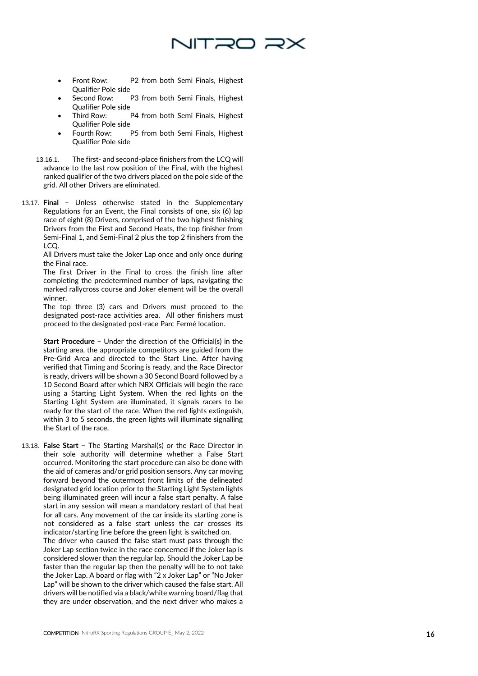

- Front Row: P2 from both Semi Finals, Highest Qualifier Pole side
- P3 from both Semi Finals, Highest Qualifier Pole side
- Third Row: P4 from both Semi Finals, Highest Qualifier Pole side
- Fourth Row: P5 from both Semi Finals, Highest Qualifier Pole side
- 13.16.1. The first and second -place finishers from the LCQ will advance to the last row position of the Final, with the highest ranked qualifier of the two drivers placed on the pole side of the grid. All other Drivers are eliminated.
- 13.17. **Final –** Unless otherwise stated in the Supplementary Regulations for an Event, the Final consists of one, six (6) lap race of eight (8) Drivers, comprised of the two highest finishing Drivers from the First and Second Heats, the top finisher from Semi -Final 1, and Semi -Final 2 plus the top 2 finishers from the LCQ.

All Drivers must take the Joker Lap once and only once during the Final race.

The first Driver in the Final to cross the finish line after completing the predetermined number of laps, navigating the marked rallycross course and Joker element will be the overall winner.

The top three (3) cars and Drivers must proceed to the designated post -race activities area. All other finishers must proceed to the designated post -race Parc Fermé location.

**Start Procedure –** Under the direction of the Official(s) in the starting area, the appropriate competitors are guided from the Pre -Grid Area and directed to the Start Line. After having verified that Timing and Scoring is ready, and the Race Director is ready, drivers will be shown a 30 Second Board followed by a 10 Second Board after which NRX Officials will begin the race using a Starting Light System. When the red lights on the Starting Light System are illuminated, it signals racers to be ready for the start of the race. When the red lights extinguish, within 3 to 5 seconds, the green lights will illuminate signalling the Start of the race.

13.18. False Start - The Starting Marshal(s) or the Race Director in their sole authority will determine whether a False Start occurred. Monitoring the start procedure can also be done with the aid of cameras and/or grid position sensors. Any car moving forward beyond the outermost front limits of the delineated designated grid location prior to the Starting Light System lights being illuminated green will incur a false start penalty. A false start in any session will mean a mandatory restart of that heat for all cars. Any movement of the car inside its starting zone is not considered as a false start unless the car crosses its indicator/starting line before the green light is switched on.

The driver who caused the false start must pass through the Joker Lap section twice in the race concerned if the Joker lap is considered slower than the regular lap. Should the Joker Lap be faster than the regular lap then the penalty will be to not take the Joker Lap. A board or flag with "2 x Joker Lap" or "No Joker Lap" will be shown to the driver which caused the false start. All drivers will be notified via a black/white warning board/flag that they are under observation, and the next driver who makes a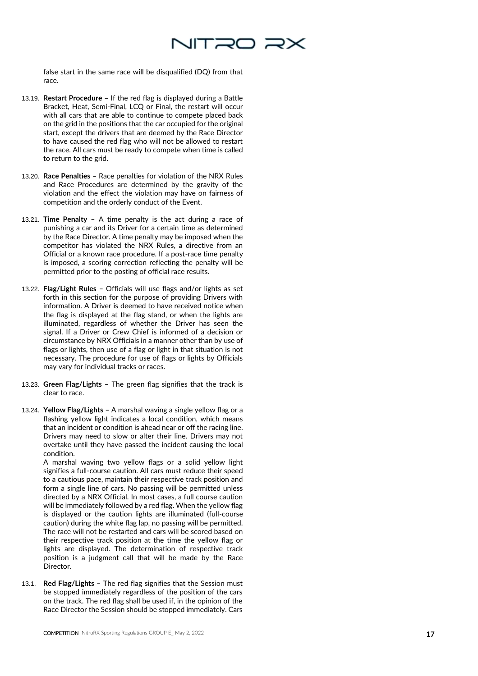

false start in the same race will be disqualified (DQ) from that race.

- 13.19. **Restart Procedure –** If the red flag is displayed during a Battle Bracket, Heat, Semi -Final, LCQ or Final, the restart will occur with all cars that are able to continue to compete placed back on the grid in the positions that the car occupied for the original start, except the drivers that are deemed by the Race Director to have caused the red flag who will not be allowed to restart the race. All cars must be ready to compete when time is called to return to the grid.
- 13.20. **Race Penalties –** Race penalties for violation of the NRX Rules and Race Procedures are determined by the gravity of the violation and the effect the violation may have on fairness of competition and the orderly conduct of the Event.
- 13.21. **Time Penalty –** A time penalty is the act during a race of punishing a car and its Driver for a certain time as determined by the Race Director. A time penalty may be imposed when the competitor has violated the NRX Rules, a directive from an Official or a known race procedure. If a post -race time penalty is imposed, a scoring correction reflecting the penalty will be permitted prior to the posting of official race results.
- 13.22. **Flag/Light Rules –** Officials will use flags and/or lights as set forth in this section for the purpose of providing Drivers with information. A Driver is deemed to have received notice when the flag is displayed at the flag stand, or when the lights are illuminated, regardless of whether the Driver has seen the signal. If a Driver or Crew Chief is informed of a decision or circumstance by NRX Officials in a manner other than by use of flags or lights, then use of a flag or light in that situation is not necessary. The procedure for use of flags or lights by Officials may vary for individual tracks or races.
- 13.23. **Green Flag/Lights –** The green flag signifies that the track is clear to race.
- 13.24. **Yellow Flag/Lights** A marshal waving a single yellow flag or a flashing yellow light indicates a local condition, which means that an incident or condition is ahead near or off the racing line. Drivers may need to slow or alter their line. Drivers may not overtake until they have passed the incident causing the local condition.

A marshal waving two yellow flags or a solid yellow light signifies a full -course caution. All cars must reduce their speed to a cautious pace, maintain their respective track position and form a single line of cars. No passing will be permitted unless directed by a NRX Official. In most cases, a full course caution will be immediately followed by a red flag. When the yellow flag is displayed or the caution lights are illuminated (full -course caution) during the white flag lap, no passing will be permitted. The race will not be restarted and cars will be scored based on their respective track position at the time the yellow flag or lights are displayed. The determination of respective track position is a judgment call that will be made by the Race Director.

13.1. **Red Flag/Lights –** The red flag signifies that the Session must be stopped immediately regardless of the position of the cars on the track. The red flag shall be used if, in the opinion of the Race Director the Session should be stopped immediately. Cars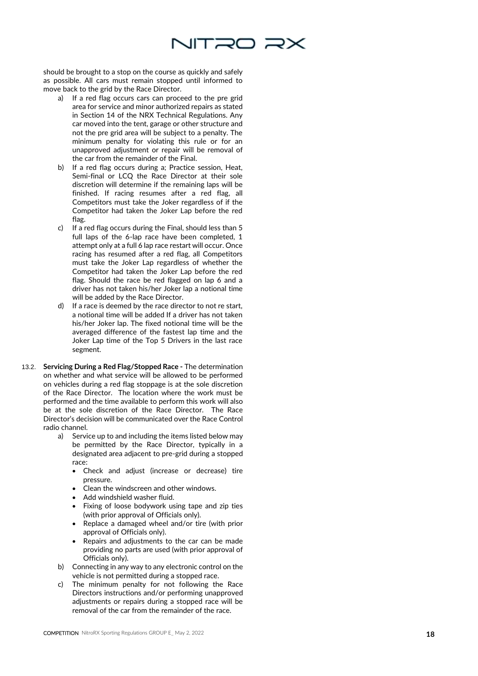

should be brought to a stop on the course as quickly and safely as possible. All cars must remain stopped until informed to move back to the grid by the Race Director.

- a) If a red flag occurs cars can proceed to the pre grid area for service and minor authorized repairs as stated in Section 14 of the NRX Technical Regulations. Any car moved into the tent, garage or other structure and not the pre grid area will be subject to a penalty. The minimum penalty for violating this rule or for an unapproved adjustment or repair will be removal of the car from the remainder of the Final.
- b) If a red flag occurs during a; Practice session, Heat, Semi -final or LCQ the Race Director at their sole discretion will determine if the remaining laps will be finished. If racing resumes after a red flag, all Competitors must take the Joker regardless of if the Competitor had taken the Joker Lap before the red flag.
- c) If a red flag occurs during the Final, should less than 5 full laps of the 6 -lap race have been completed, 1 attempt only at a full 6 lap race restart will occur. Once racing has resumed after a red flag, all Competitors must take the Joker Lap regardless of whether the Competitor had taken the Joker Lap before the red flag. Should the race be red flagged on lap 6 and a driver has not taken his/her Joker lap a notional time will be added by the Race Director.
- d) If a race is deemed by the race director to not re start, a notional time will be added If a driver has not taken his/her Joker lap. The fixed notional time will be the averaged difference of the fastest lap time and the Joker Lap time of the Top 5 Drivers in the last race segment.
- 13.2. **Servicing During a Red Flag/Stopped Race -** The determination on whether and what service will be allowed to be performed on vehicles during a red flag stoppage is at the sole discretion of the Race Director. The location where the work must be performed and the time available to perform this work will also be at the sole discretion of the Race Director. The Race Director's decision will be communicated over the Race Control radio channel.
	- a) Service up to and including the items listed below may be permitted by the Race Director, typically in a designated area adjacent to pre -grid during a stopped race:
		- Check and adjust (increase or decrease) tire pressure.
		- Clean the windscreen and other windows.
		- Add windshield washer fluid.
		- Fixing of loose bodywork using tape and zip ties (with prior approval of Officials only).
		- Replace a damaged wheel and/or tire (with prior approval of Officials only).
		- Repairs and adjustments to the car can be made providing no parts are used (with prior approval of Officials only).
	- b) Connecting in any way to any electronic control on the vehicle is not permitted during a stopped race.
	- c) The minimum penalty for not following the Race Directors instructions and/or performing unapproved adjustments or repairs during a stopped race will be removal of the car from the remainder of the race.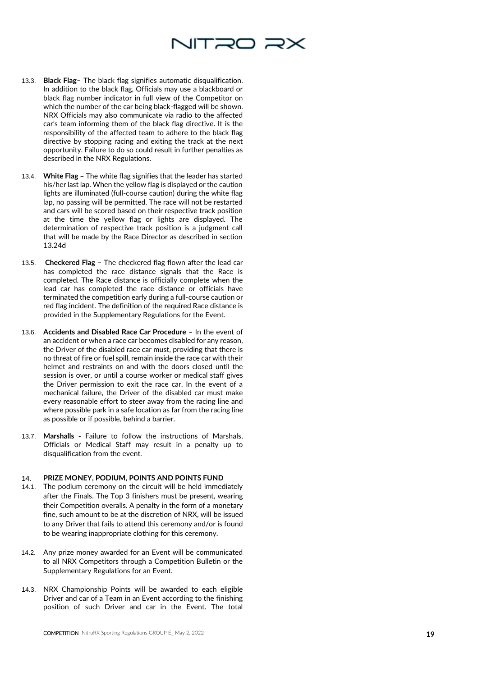

- 13.3. **Black Flag –** The black flag signifies automatic disqualification. In addition to the black flag, Officials may use a blackboard or black flag number indicator in full view of the Competitor on which the number of the car being black -flagged will be shown. NRX Officials may also communicate via radio to the affected car's team informing them of the black flag directive. It is the responsibility of the affected team to adhere to the black flag directive by stopping racing and exiting the track at the next opportunity. Failure to do so could result in further penalties as described in the NRX Regulations.
- 13.4. **White Flag –** The white flag signifies that the leader has started his/her last lap. When the yellow flag is displayed or the caution lights are illuminated (full -course caution) during the white flag lap, no passing will be permitted. The race will not be restarted and cars will be scored based on their respective track position at the time the yellow flag or lights are displayed. The determination of respective track position is a judgment call that will be made by the Race Director as described in section 13.24d
- 13.5. **Checkered Flag –** The checkered flag flown after the lead car has completed the race distance signals that the Race is completed. The Race distance is officially complete when the lead car has completed the race distance or officials have terminated the competition early during a full -course caution or red flag incident. The definition of the required Race distance is provided in the Supplementary Regulations for the Event.
- 13.6. **Accidents and Disabled Race Car Procedure –** In the event of an accident or when a race car becomes disabled for any reason, the Driver of the disabled race car must, providing that there is no threat of fire or fuel spill, remain inside the race car with their helmet and restraints on and with the doors closed until the session is over, or until a course worker or medical staff gives the Driver permission to exit the race car. In the event of a mechanical failure, the Driver of the disabled car must make every reasonable effort to steer away from the racing line and where possible park in a safe location as far from the racing line as possible or if possible, behind a barrier.
- 13.7. **Marshalls -** Failure to follow the instructions of Marshals, Officials or Medical Staff may result in a penalty up to disqualification from the event.

## **PRIZE MONEY, PODIUM, POINTS AND POINTS FUND** 14.

- 14.1. The podium ceremony on the circuit will be held immediately after the Finals. The Top 3 finishers must be present, wearing their Competition overalls. A penalty in the form of a monetary fine, such amount to be at the discretion of NRX, will be issued to any Driver that fails to attend this ceremony and/or is found to be wearing inappropriate clothing for this ceremony.
- 14.2. Any prize money awarded for an Event will be communicated to all NRX Competitors through a Competition Bulletin or the Supplementary Regulations for an Event.
- 14.3. NRX Championship Points will be awarded to each eligible Driver and car of a Team in an Event according to the finishing position of such Driver and car in the Event. The total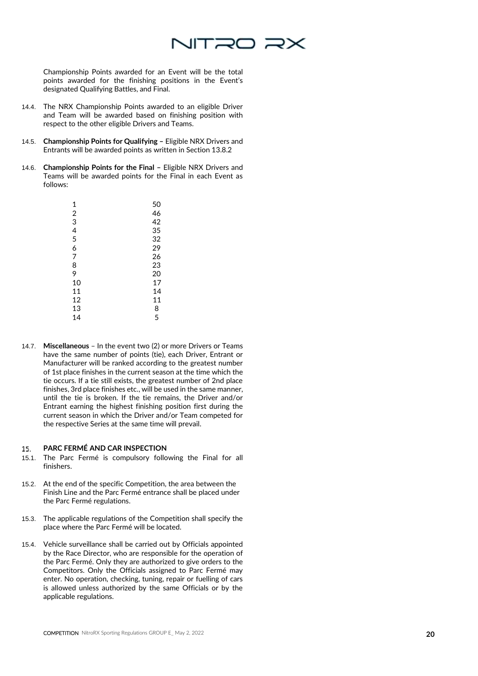

Championship Points awarded for an Event will be the total points awarded for the finishing positions in the Event's designated Qualifying Battles, and Final.

- 14.4. The NRX Championship Points awarded to an eligible Driver and Team will be awarded based on finishing position with respect to the other eligible Drivers and Teams.
- 14.5. **Championship Points for Qualifying –** Eligible NRX Drivers and Entrants will be awarded points as written in Section 13.8.2
- 14.6. **Championship Points for the Final –** Eligible NRX Drivers and Teams will be awarded points for the Final in each Event as follows:

| 1  | 50 |
|----|----|
| 2  | 46 |
| 3  | 42 |
| 4  | 35 |
| 5  | 32 |
| 6  | 29 |
| 7  | 26 |
| 8  | 23 |
| 9  | 20 |
| 10 | 17 |
| 11 | 14 |
| 12 | 11 |
| 13 | 8  |
| 14 | 5  |

14.7. **Miscellaneous** – In the event two (2) or more Drivers or Teams have the same number of points (tie), each Driver, Entrant or Manufacturer will be ranked according to the greatest number of 1st place finishes in the current season at the time which the tie occurs. If a tie still exists, the greatest number of 2nd place finishes, 3rd place finishes etc., will be used in the same manner, until the tie is broken. If the tie remains, the Driver and/or Entrant earning the highest finishing position first during the current season in which the Driver and/or Team competed for the respective Series at the same time will prevail.

## **PARC FERMÉ AND CAR INSPECTION** 15.

- 15.1. The Parc Ferm é is compulsory following the Final for all finishers.
- 15.2. At the end of the specific Competition, the area between the Finish Line and the Parc Ferm é entrance shall be placed under the Parc Ferm é regulations.
- 15.3. The applicable regulations of the Competition shall specify the place where the Parc Ferm é will be located.
- 15.4. Vehicle surveillance shall be carried out by Officials appointed by the Race Director, who are responsible for the operation of the Parc Ferm é. Only they are authorized to give orders to the Competitors. Only the Officials assigned to Parc Fermé may enter. No operation, checking, tuning, repair or fuelling of cars is allowed unless authorized by the same Officials or by the applicable regulations.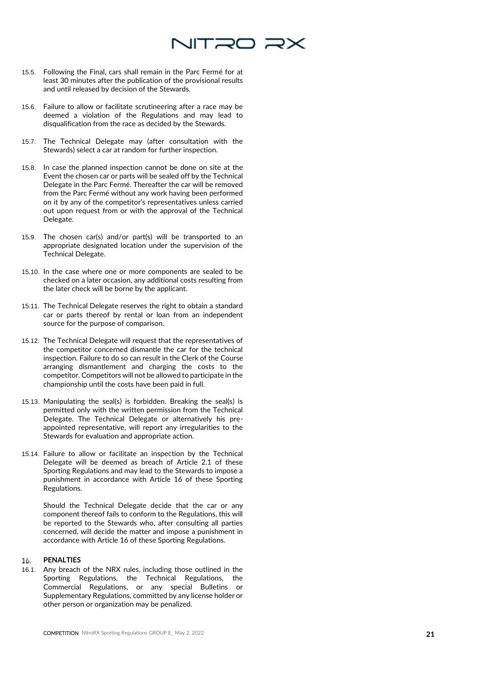

- 15.5. Following the Final, cars shall remain in the Parc Ferm é for at least 30 minutes after the publication of the provisional results and until released by decision of the Stewards.
- 15.6. Failure to allow or facilitate scrutineering after a race may be deemed a violation of the Regulations and may lead to disqualification from the race as decided by the Stewards.
- 15.7. The Technical Delegate may (after consultation with the Stewards) select a car at random for further inspection.
- 15.8. In case the planned inspection cannot be done on site at the Event the chosen car or parts will be sealed off by the Technical Delegate in the Parc Fermé. Thereafter the car will be removed from the Parc Fermé without any work having been performed on it by any of the competitor's representatives unless carried out upon request from or with the approval of the Technical Delegate.
- 15.9. The chosen car(s) and/or part(s) will be transported to an appropriate designated location under the supervision of the Technical Delegate.
- 15.10. In the case where one or more components are sealed to be checked on a later occasion, any additional costs resulting from the later check will be borne by the applicant.
- 15.11. The Technical Delegate reserves the right to obtain a standard car or parts thereof by rental or loan from an independent source for the purpose of comparison.
- 15.12. The Technical Delegate will request that the representatives of the competitor concerned dismantle the car for the technical inspection. Failure to do so can result in the Clerk of the Course arranging dismantlement and charging the costs to the competitor. Competitors will not be allowed to participate in the championship until the costs have been paid in full.
- 15.13. Manipulating the seal(s) is forbidden. Breaking the seal(s) is permitted only with the written permission from the Technical Delegate. The Technical Delegate or alternatively his pre appointed representative, will report any irregularities to the Stewards for evaluation and appropriate action.
- 15.14. Failure to allow or facilitate an inspection by the Technical Delegate will be deemed as breach of Article 2.1 of these Sporting Regulations and may lead to the Stewards to impose a punishment in accordance with Article 16 of these Sporting Regulations.

Should the Technical Delegate decide that the car or any component thereof fails to conform to the Regulations, this will be reported to the Stewards who, after consulting all parties concerned, will decide the matter and impose a punishment in accordance with Article 16 of these Sporting Regulations.

## **PENALTIES**  16.

16.1. Any breach of the NRX rules, including those outlined in the Sporting Regulations, the Technical Regulations, the Commercial Regulations, or any special Bulletins or Supplementary Regulations, committed by any license holder or other person or organization may be penalized.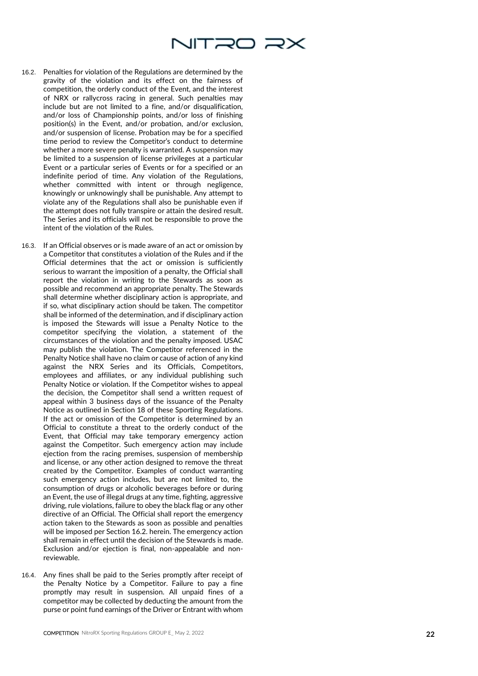

- 16.2. Penalties for violation of the Regulations are determined by the gravity of the violation and its effect on the fairness of competition, the orderly conduct of the Event, and the interest of NRX or rallycross racing in general. Such penalties may include but are not limited to a fine, and/or disqualification, and/or loss of Championship points, and/or loss of finishing position(s) in the Event, and/or probation, and/or exclusion, and/or suspension of license. Probation may be for a specified time period to review the Competitor's conduct to determine whether a more severe penalty is warranted. A suspension may be limited to a suspension of license privileges at a particular Event or a particular series of Events or for a specified or an indefinite period of time. Any violation of the Regulations, whether committed with intent or through negligence, knowingly or unknowingly shall be punishable. Any attempt to violate any of the Regulations shall also be punishable even if the attempt does not fully transpire or attain the desired result. The Series and its officials will not be responsible to prove the intent of the violation of the Rules.
- 16.3. If an Official observes or is made aware of an act or omission by a Competitor that constitutes a violation of the Rules and if the Official determines that the act or omission is sufficiently serious to warrant the imposition of a penalty, the Official shall report the violation in writing to the Stewards as soon as possible and recommend an appropriate penalty. The Stewards shall determine whether disciplinary action is appropriate, and if so, what disciplinary action should be taken. The competitor shall be informed of the determination, and if disciplinary action is imposed the Stewards will issue a Penalty Notice to the competitor specifying the violation, a statement of the circumstances of the violation and the penalty imposed. USAC may publish the violation. The Competitor referenced in the Penalty Notice shall have no claim or cause of action of any kind against the NRX Series and its Officials, Competitors, employees and affiliates, or any individual publishing such Penalty Notice or violation. If the Competitor wishes to appeal the decision, the Competitor shall send a written request of appeal within 3 business days of the issuance of the Penalty Notice as outlined in Section 18 of these Sporting Regulations. If the act or omission of the Competitor is determined by an Official to constitute a threat to the orderly conduct of the Event, that Official may take temporary emergency action against the Competitor. Such emergency action may include ejection from the racing premises, suspension of membership and license, or any other action designed to remove the threat created by the Competitor. Examples of conduct warranting such emergency action includes, but are not limited to, the consumption of drugs or alcoholic beverages before or during an Event, the use of illegal drugs at any time, fighting, aggressive driving, rule violations, failure to obey the black flag or any other directive of an Official. The Official shall report the emergency action taken to the Stewards as soon as possible and penalties will be imposed per Section 16.2. herein. The emergency action shall remain in effect until the decision of the Stewards is made. Exclusion and/or ejection is final, non -appealable and non reviewable.
- 16.4. Any fines shall be paid to the Series promptly after receipt of the Penalty Notice by a Competitor. Failure to pay a fine promptly may result in suspension. All unpaid fines of a competitor may be collected by deducting the amount from the purse or point fund earnings of the Driver or Entrant with whom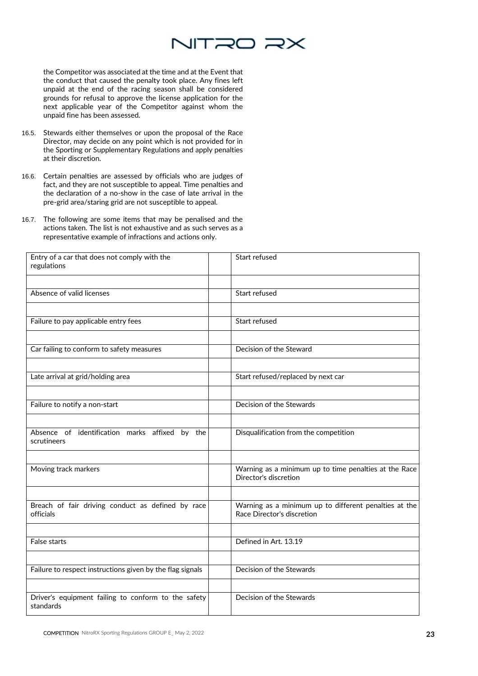

the Competitor was associated at the time and at the Event that the conduct that caused the penalty took place. Any fines left unpaid at the end of the racing season shall be considered grounds for refusal to approve the license application for the next applicable year of the Competitor against whom the unpaid fine has been assessed.

- 16.5. Stewards either themselves or upon the proposal of the Race Director, may decide on any point which is not provided for in the Sporting or Supplementary Regulations and apply penalties at their discretion.
- 16.6. Certain penalties are assessed by officials who are judges of fact, and they are not susceptible to appeal. Time penalties and the declaration of a no-show in the case of late arrival in the pre-grid area/staring grid are not susceptible to appeal.
- 16.7. The following are some items that may be penalised and the actions taken. The list is not exhaustive and as such serves as a representative example of infractions and actions only.

| Entry of a car that does not comply with the<br>regulations      | Start refused                                                                       |
|------------------------------------------------------------------|-------------------------------------------------------------------------------------|
|                                                                  |                                                                                     |
| Absence of valid licenses                                        | Start refused                                                                       |
|                                                                  |                                                                                     |
| Failure to pay applicable entry fees                             | Start refused                                                                       |
|                                                                  |                                                                                     |
| Car failing to conform to safety measures                        | Decision of the Steward                                                             |
|                                                                  |                                                                                     |
| Late arrival at grid/holding area                                | Start refused/replaced by next car                                                  |
|                                                                  |                                                                                     |
| Failure to notify a non-start                                    | Decision of the Stewards                                                            |
|                                                                  |                                                                                     |
| Absence of identification marks affixed by the<br>scrutineers    | Disqualification from the competition                                               |
|                                                                  |                                                                                     |
| Moving track markers                                             | Warning as a minimum up to time penalties at the Race<br>Director's discretion      |
|                                                                  |                                                                                     |
| Breach of fair driving conduct as defined by race<br>officials   | Warning as a minimum up to different penalties at the<br>Race Director's discretion |
|                                                                  |                                                                                     |
| False starts                                                     | Defined in Art. 13.19                                                               |
|                                                                  |                                                                                     |
| Failure to respect instructions given by the flag signals        | Decision of the Stewards                                                            |
|                                                                  |                                                                                     |
| Driver's equipment failing to conform to the safety<br>standards | Decision of the Stewards                                                            |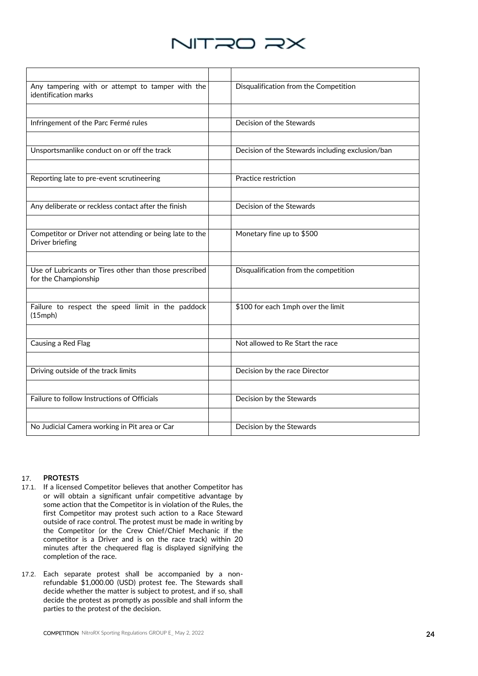

| Any tampering with or attempt to tamper with the<br>identification marks       | Disqualification from the Competition            |
|--------------------------------------------------------------------------------|--------------------------------------------------|
|                                                                                |                                                  |
| Infringement of the Parc Fermé rules                                           | Decision of the Stewards                         |
|                                                                                |                                                  |
| Unsportsmanlike conduct on or off the track                                    | Decision of the Stewards including exclusion/ban |
|                                                                                |                                                  |
| Reporting late to pre-event scrutineering                                      | Practice restriction                             |
|                                                                                |                                                  |
| Any deliberate or reckless contact after the finish                            | Decision of the Stewards                         |
|                                                                                |                                                  |
| Competitor or Driver not attending or being late to the<br>Driver briefing     | Monetary fine up to \$500                        |
|                                                                                |                                                  |
| Use of Lubricants or Tires other than those prescribed<br>for the Championship | Disqualification from the competition            |
|                                                                                |                                                  |
| Failure to respect the speed limit in the paddock<br>$(15$ mph $)$             | \$100 for each 1mph over the limit               |
|                                                                                |                                                  |
| Causing a Red Flag                                                             | Not allowed to Re Start the race                 |
|                                                                                |                                                  |
| Driving outside of the track limits                                            | Decision by the race Director                    |
|                                                                                |                                                  |
| Failure to follow Instructions of Officials                                    | Decision by the Stewards                         |
|                                                                                |                                                  |
| No Judicial Camera working in Pit area or Car                                  | Decision by the Stewards                         |

## 17. **PROTESTS**

- 17.1. If a licensed Competitor believes that another Competitor has or will obtain a significant unfair competitive advantage by some action that the Competitor is in violation of the Rules, the first Competitor may protest such action to a Race Steward outside of race control. The protest must be made in writing by the Competitor (or the Crew Chief/Chief Mechanic if the competitor is a Driver and is on the race track) within 20 minutes after the chequered flag is displayed signifying the completion of the race.
- 17.2. Each separate protest shall be accompanied by a nonrefundable \$1,000.00 (USD) protest fee. The Stewards shall decide whether the matter is subject to protest, and if so, shall decide the protest as promptly as possible and shall inform the parties to the protest of the decision.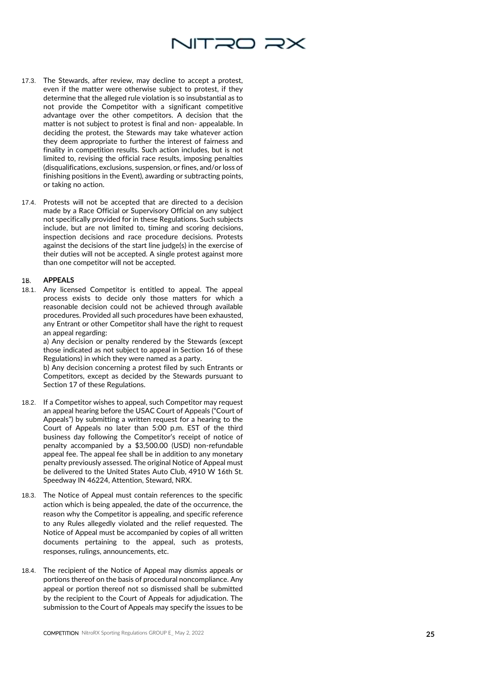

- 17.3. The Stewards, after review, may decline to accept a protest, even if the matter were otherwise subject to protest, if they determine that the alleged rule violation is so insubstantial as to not provide the Competitor with a significant competitive advantage over the other competitors. A decision that the matter is not subject to protest is final and non - appealable. In deciding the protest, the Stewards may take whatever action they deem appropriate to further the interest of fairness and finality in competition results. Such action includes, but is not limited to, revising the official race results, imposing penalties (disqualifications, exclusions, suspension, or fines, and/or loss of finishing positions in the Event), awarding or subtracting points, or taking no action.
- 17.4. Protests will not be accepted that are directed to a decision made by a Race Official or Supervisory Official on any subject not specifically provided for in these Regulations. Such subjects include, but are not limited to, timing and scoring decisions, inspection decisions and race procedure decisions. Protests against the decisions of the start line judge(s) in the exercise of their duties will not be accepted. A single protest against more than one competitor will not be accepted.

#### **APPEALS**  18.

18.1. Any licensed Competitor is entitled to appeal. The appeal process exists to decide only those matters for which a reasonable decision could not be achieved through available procedures. Provided all such procedures have been exhausted, any Entrant or other Competitor shall have the right to request an appeal regarding:

a) Any decision or penalty rendered by the Stewards (except those indicated as not subject to appeal in Section 16 of these Regulations) in which they were named as a party.

b) Any decision concerning a protest filed by such Entrants or Competitors, except as decided by the Stewards pursuant to Section 17 of these Regulations.

- 18.2. If a Competitor wishes to appeal, such Competitor may request an appeal hearing before the USAC Court of Appeals ("Court of Appeals") by submitting a written request for a hearing to the Court of Appeals no later than 5:00 p.m. EST of the third business day following the Competitor's receipt of notice of penalty accompanied by a \$3,500.00 (USD) non -refundable appeal fee. The appeal fee shall be in addition to any monetary penalty previously assessed. The original Notice of Appeal must be delivered to the United States Auto Club, 4910 W 16th St. Speedway IN 46224, Attention, Steward, NRX.
- 18.3. The Notice of Appeal must contain references to the specific action which is being appealed, the date of the occurrence, the reason why the Competitor is appealing, and specific reference to any Rules allegedly violated and the relief requested. The Notice of Appeal must be accompanied by copies of all written documents pertaining to the appeal, such as protests, responses, rulings, announcements, etc.
- 18.4. The recipient of the Notice of Appeal may dismiss appeals or portions thereof on the basis of procedural noncompliance. Any appeal or portion thereof not so dismissed shall be submitted by the recipient to the Court of Appeals for adjudication. The submission to the Court of Appeals may specify the issues to be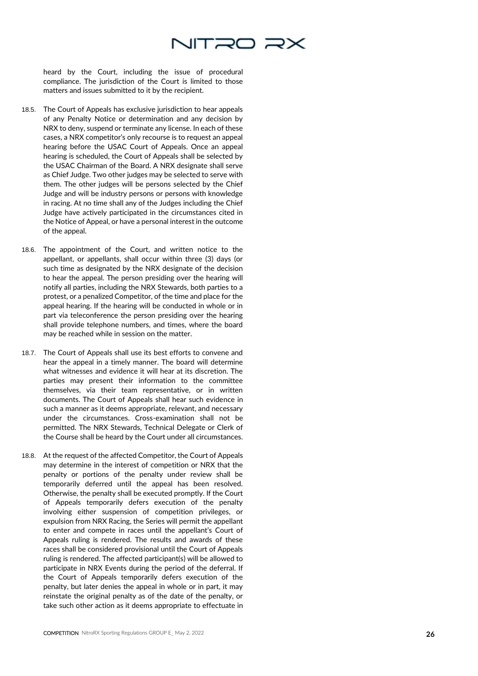

heard by the Court, including the issue of procedural compliance. The jurisdiction of the Court is limited to those matters and issues submitted to it by the recipient.

- 18.5. The Court of Appeals has exclusive jurisdiction to hear appeals of any Penalty Notice or determination and any decision by NRX to deny, suspend or terminate any license. In each of these cases, a NRX competitor's only recourse is to request an appeal hearing before the USAC Court of Appeals. Once an appeal hearing is scheduled, the Court of Appeals shall be selected by the USAC Chairman of the Board. A NRX designate shall serve as Chief Judge. Two other judges may be selected to serve with them. The other judges will be persons selected by the Chief Judge and will be industry persons or persons with knowledge in racing. At no time shall any of the Judges including the Chief Judge have actively participated in the circumstances cited in the Notice of Appeal, or have a personal interest in the outcome of the appeal.
- 18.6. The appointment of the Court, and written notice to the appellant, or appellants, shall occur within three (3) days (or such time as designated by the NRX designate of the decision to hear the appeal. The person presiding over the hearing will notify all parties, including the NRX Stewards, both parties to a protest, or a penalized Competitor, of the time and place for the appeal hearing. If the hearing will be conducted in whole or in part via teleconference the person presiding over the hearing shall provide telephone numbers, and times, where the board may be reached while in session on the matter.
- 18.7. The Court of Appeals shall use its best efforts to convene and hear the appeal in a timely manner. The board will determine what witnesses and evidence it will hear at its discretion. The parties may present their information to the committee themselves, via their team representative, or in written documents. The Court of Appeals shall hear such evidence in such a manner as it deems appropriate, relevant, and necessary under the circumstances. Cross -examination shall not be permitted. The NRX Stewards, Technical Delegate or Clerk of the Course shall be heard by the Court under all circumstances.
- 18.8. At the request of the affected Competitor, the Court of Appeals may determine in the interest of competition or NRX that the penalty or portions of the penalty under review shall be temporarily deferred until the appeal has been resolved. Otherwise, the penalty shall be executed promptly. If the Court of Appeals temporarily defers execution of the penalty involving either suspension of competition privileges, or expulsion from NRX Racing, the Series will permit the appellant to enter and compete in races until the appellant's Court of Appeals ruling is rendered. The results and awards of these races shall be considered provisional until the Court of Appeals ruling is rendered. The affected participant(s) will be allowed to participate in NRX Events during the period of the deferral. If the Court of Appeals temporarily defers execution of the penalty, but later denies the appeal in whole or in part, it may reinstate the original penalty as of the date of the penalty, or take such other action as it deems appropriate to effectuate in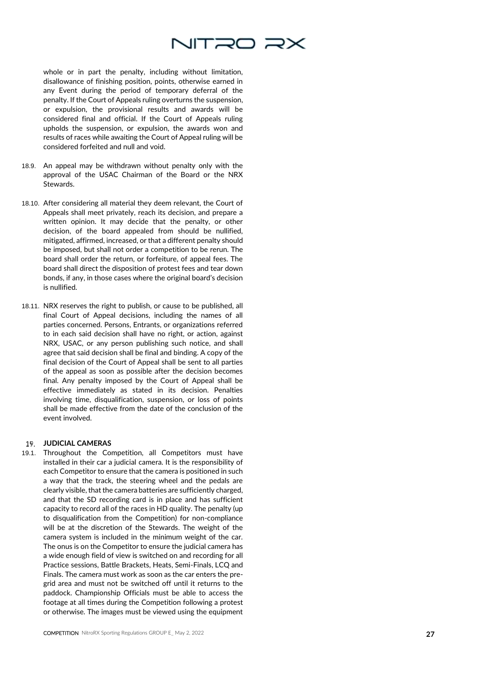

whole or in part the penalty, including without limitation, disallowance of finishing position, points, otherwise earned in any Event during the period of temporary deferral of the penalty. If the Court of Appeals ruling overturns the suspension, or expulsion, the provisional results and awards will be considered final and official. If the Court of Appeals ruling upholds the suspension, or expulsion, the awards won and results of races while awaiting the Court of Appeal ruling will be considered forfeited and null and void.

- 18.9. An appeal may be withdrawn without penalty only with the approval of the USAC Chairman of the Board or the NRX **Stewards**
- 18.10. After considering all material they deem relevant, the Court of Appeals shall meet privately, reach its decision, and prepare a written opinion. It may decide that the penalty, or other decision, of the board appealed from should be nullified, mitigated, affirmed, increased, or that a different penalty should be imposed, but shall not order a competition to be rerun. The board shall order the return, or forfeiture, of appeal fees. The board shall direct the disposition of protest fees and tear down bonds, if any, in those cases where the original board's decision is nullified.
- 18.11. NRX reserves the right to publish, or cause to be published, all final Court of Appeal decisions, including the names of all parties concerned. Persons, Entrants, or organizations referred to in each said decision shall have no right, or action, against NRX, USAC, or any person publishing such notice, and shall agree that said decision shall be final and binding. A copy of the final decision of the Court of Appeal shall be sent to all parties of the appeal as soon as possible after the decision becomes final. Any penalty imposed by the Court of Appeal shall be effective immediately as stated in its decision. Penalties involving time, disqualification, suspension, or loss of points shall be made effective from the date of the conclusion of the event involved.

## **JUDICIAL CAMERAS**

19.1. Throughout the Competition, all Competitors must have installed in their car a judicial camera. It is the responsibility of each Competitor to ensure that the camera is positioned in such a way that the track, the steering wheel and the pedals are clearly visible, that the camera batteries are sufficiently charged, and that the SD recording card is in place and has sufficient capacity to record all of the races in HD quality. The penalty (up to disqualification from the Competition) for non -compliance will be at the discretion of the Stewards. The weight of the camera system is included in the minimum weight of the car. The onus is on the Competitor to ensure the judicial camera has a wide enough field of view is switched on and recording for all Practice sessions, Battle Brackets, Heats, Semi -Finals, LCQ and Finals. The camera must work as soon as the car enters the pre grid area and must not be switched off until it returns to the paddock. Championship Officials must be able to access the footage at all times during the Competition following a protest or otherwise. The images must be viewed using the equipment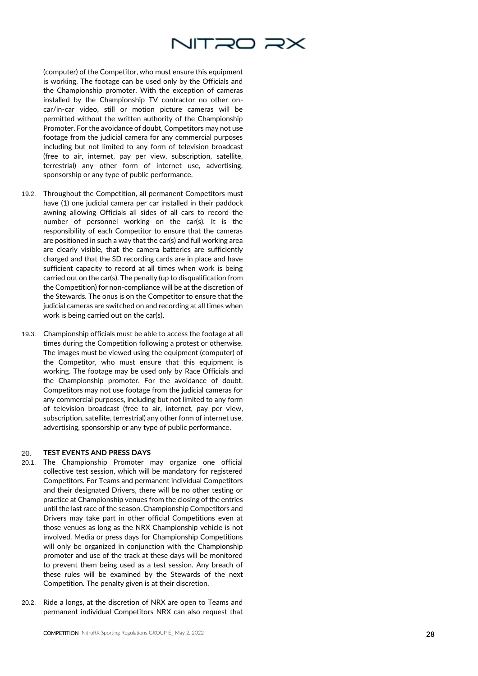

(computer) of the Competitor, who must ensure this equipment is working. The footage can be used only by the Officials and the Championship promoter. With the exception of cameras installed by the Championship TV contractor no other on car/in -car video, still or motion picture cameras will be permitted without the written authority of the Championship Promoter. For the avoidance of doubt, Competitors may not use footage from the judicial camera for any commercial purposes including but not limited to any form of television broadcast (free to air, internet, pay per view, subscription, satellite, terrestrial) any other form of internet use, advertising, sponsorship or any type of public performance.

- 19.2. Throughout the Competition, all permanent Competitors must have (1) one judicial camera per car installed in their paddock awning allowing Officials all sides of all cars to record the number of personnel working on the car(s). It is the responsibility of each Competitor to ensure that the cameras are positioned in such a way that the car(s) and full working area are clearly visible, that the camera batteries are sufficiently charged and that the SD recording cards are in place and have sufficient capacity to record at all times when work is being carried out on the car(s). The penalty (up to disqualification from the Competition) for non-compliance will be at the discretion of the Stewards. The onus is on the Competitor to ensure that the judicial cameras are switched on and recording at all times when work is being carried out on the car(s).
- 19.3. Championship officials must be able to access the footage at all times during the Competition following a protest or otherwise. The images must be viewed using the equipment (computer) of the Competitor, who must ensure that this equipment is working. The footage may be used only by Race Officials and the Championship promoter. For the avoidance of doubt, Competitors may not use footage from the judicial cameras for any commercial purposes, including but not limited to any form of television broadcast (free to air, internet, pay per view, subscription, satellite, terrestrial) any other form of internet use, advertising, sponsorship or any type of public performance.

#### 20. **TEST EVENTS AND PRESS DAYS**

- 20.1. The Championship Promoter may organize one official collective test session, which will be mandatory for registered Competitors. For Teams and permanent individual Competitors and their designated Drivers, there will be no other testing or practice at Championship venues from the closing of the entries until the last race of the season. Championship Competitors and Drivers may take part in other official Competitions even at those venues as long as the NRX Championship vehicle is not involved. Media or press days for Championship Competitions will only be organized in conjunction with the Championship promoter and use of the track at these days will be monitored to prevent them being used as a test session. Any breach of these rules will be examined by the Stewards of the next Competition. The penalty given is at their discretion.
- 20.2. Ride a longs, at the discretion of NRX are open to Teams and permanent individual Competitors NRX can also request that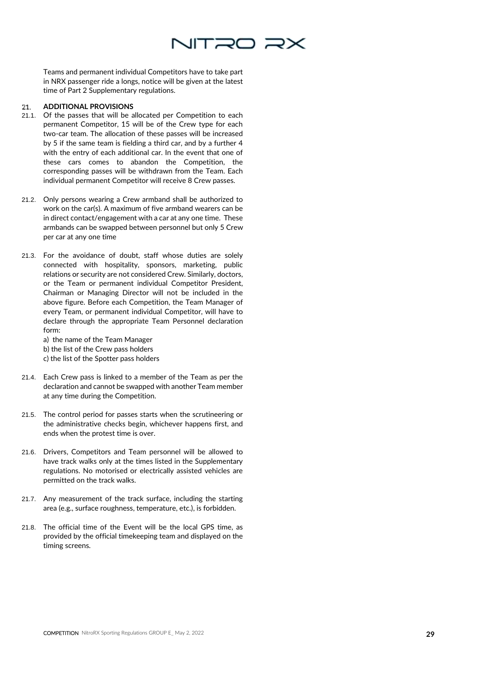

Teams and permanent individual Competitors have to take part in NRX passenger ride a longs, notice will be given at the latest time of Part 2 Supplementary regulations.

## **ADDITIONAL PROVISIONS**  21.

- 21.1. Of the passes that will be allocated per Competition to each permanent Competitor, 15 will be of the Crew type for each two-car team. The allocation of these passes will be increased by 5 if the same team is fielding a third car, and by a further 4 with the entry of each additional car. In the event that one of these cars comes to abandon the Competition, the corresponding passes will be withdrawn from the Team. Each individual permanent Competitor will receive 8 Crew passes.
- 21.2. Only persons wearing a Crew armband shall be authorized to work on the car(s). A maximum of five armband wearers can be in direct contact/engagement with a car at any one time. These armbands can be swapped between personnel but only 5 Crew per car at any one time
- 21.3. For the avoidance of doubt, staff whose duties are solely connected with hospitality, sponsors, marketing, public relations or security are not considered Crew. Similarly, doctors, or the Team or permanent individual Competitor President, Chairman or Managing Director will not be included in the above figure. Before each Competition, the Team Manager of every Team, or permanent individual Competitor, will have to declare through the appropriate Team Personnel declaration form:

a) the name of the Team Manager b) the list of the Crew pass holders c) the list of the Spotter pass holders

- 21.4. Each Crew pass is linked to a member of the Team as per the declaration and cannot be swapped with another Team member at any time during the Competition.
- 21.5. The control period for passes starts when the scrutineering or the administrative checks begin, whichever happens first, and ends when the protest time is over.
- 21.6. Drivers, Competitors and Team personnel will be allowed to have track walks only at the times listed in the Supplementary regulations. No motorised or electrically assisted vehicles are permitted on the track walks.
- 21.7. Any measurement of the track surface, including the starting area (e.g., surface roughness, temperature, etc.), is forbidden.
- 21.8. The official time of the Event will be the local GPS time, as provided by the official timekeeping team and displayed on the timing screens.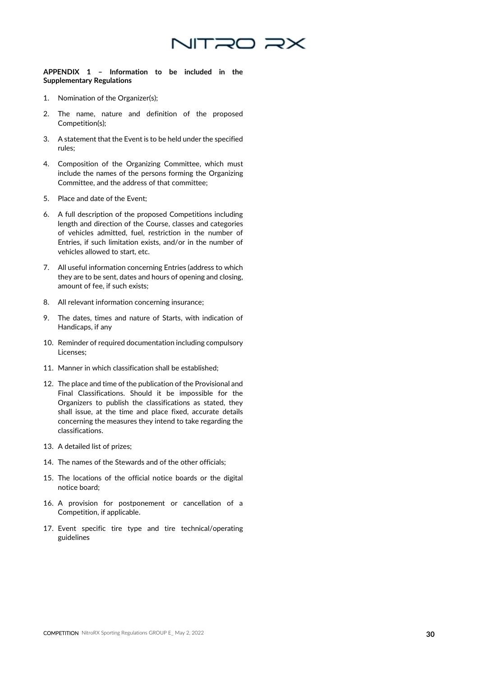

**APPENDIX 1 – Information to be included in the Supplementary Regulations**

- 1. Nomination of the Organizer(s);
- 2. The name, nature and definition of the proposed Competition(s);
- 3. A statement that the Event is to be held under the specified rules;
- 4. Composition of the Organizing Committee, which must include the names of the persons forming the Organizing Committee, and the address of that committee;
- 5. Place and date of the Event;
- 6. A full description of the proposed Competitions including length and direction of the Course, classes and categories of vehicles admitted, fuel, restriction in the number of Entries, if such limitation exists, and/or in the number of vehicles allowed to start, etc.
- 7. All useful information concerning Entries (address to which they are to be sent, dates and hours of opening and closing, amount of fee, if such exists;
- 8. All relevant information concerning insurance;
- 9. The dates, times and nature of Starts, with indication of Handicaps, if any
- 10. Reminder of required documentation including compulsory Licenses;
- 11. Manner in which classification shall be established;
- 12. The place and time of the publication of the Provisional and Final Classifications. Should it be impossible for the Organizers to publish the classifications as stated, they shall issue, at the time and place fixed, accurate details concerning the measures they intend to take regarding the classifications.
- 13. A detailed list of prizes;
- 14. The names of the Stewards and of the other officials;
- 15. The locations of the official notice boards or the digital notice board;
- 16. A provision for postponement or cancellation of a Competition, if applicable.
- 17. Event specific tire type and tire technical/operating guidelines